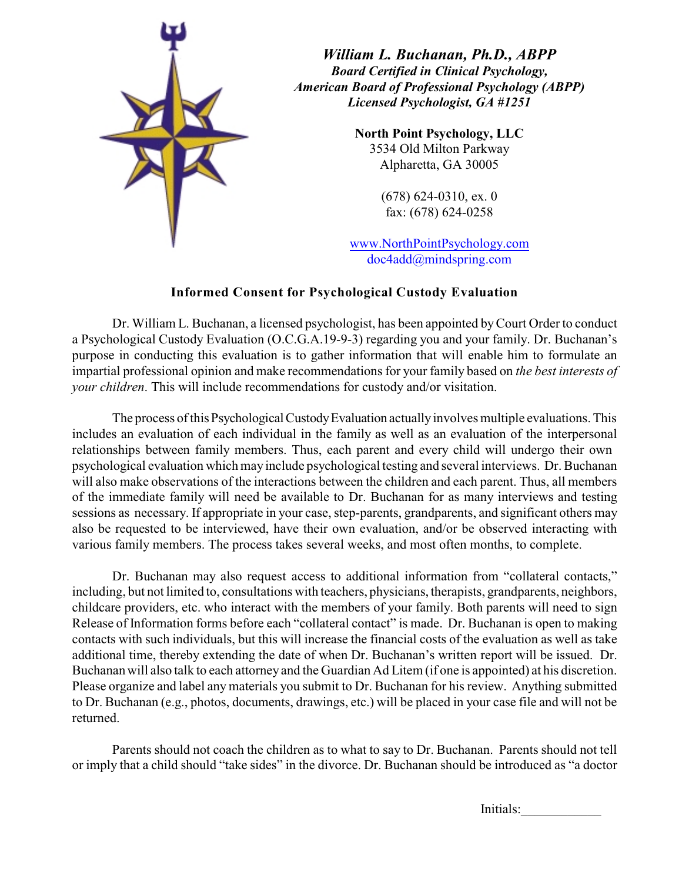

*William L. Buchanan, Ph.D., ABPP Board Certified in Clinical Psychology, American Board of Professional Psychology (ABPP) Licensed Psychologist, GA #1251*

> **North Point Psychology, LLC** 3534 Old Milton Parkway Alpharetta, GA 30005

> > (678) 624-0310, ex. 0 fax: (678) 624-0258

www.NorthPointPsychology.com doc4add@mindspring.com

## **Informed Consent for Psychological Custody Evaluation**

Dr. William L. Buchanan, a licensed psychologist, has been appointed by Court Order to conduct a Psychological Custody Evaluation (O.C.G.A.19-9-3) regarding you and your family. Dr. Buchanan's purpose in conducting this evaluation is to gather information that will enable him to formulate an impartial professional opinion and make recommendations for your family based on *the best interests of your children*. This will include recommendations for custody and/or visitation.

The process of this Psychological Custody Evaluation actually involves multiple evaluations. This includes an evaluation of each individual in the family as well as an evaluation of the interpersonal relationships between family members. Thus, each parent and every child will undergo their own psychological evaluation which may include psychological testing and several interviews. Dr. Buchanan will also make observations of the interactions between the children and each parent. Thus, all members of the immediate family will need be available to Dr. Buchanan for as many interviews and testing sessions as necessary. If appropriate in your case, step-parents, grandparents, and significant others may also be requested to be interviewed, have their own evaluation, and/or be observed interacting with various family members. The process takes several weeks, and most often months, to complete.

Dr. Buchanan may also request access to additional information from "collateral contacts," including, but not limited to, consultations with teachers, physicians, therapists, grandparents, neighbors, childcare providers, etc. who interact with the members of your family. Both parents will need to sign Release of Information forms before each "collateral contact" is made. Dr. Buchanan is open to making contacts with such individuals, but this will increase the financial costs of the evaluation as well as take additional time, thereby extending the date of when Dr. Buchanan's written report will be issued. Dr. Buchanan will also talk to each attorney and the Guardian Ad Litem (if one is appointed) at his discretion. Please organize and label any materials you submit to Dr. Buchanan for his review. Anything submitted to Dr. Buchanan (e.g., photos, documents, drawings, etc.) will be placed in your case file and will not be returned.

Parents should not coach the children as to what to say to Dr. Buchanan. Parents should not tell or imply that a child should "take sides" in the divorce. Dr. Buchanan should be introduced as "a doctor

Initials: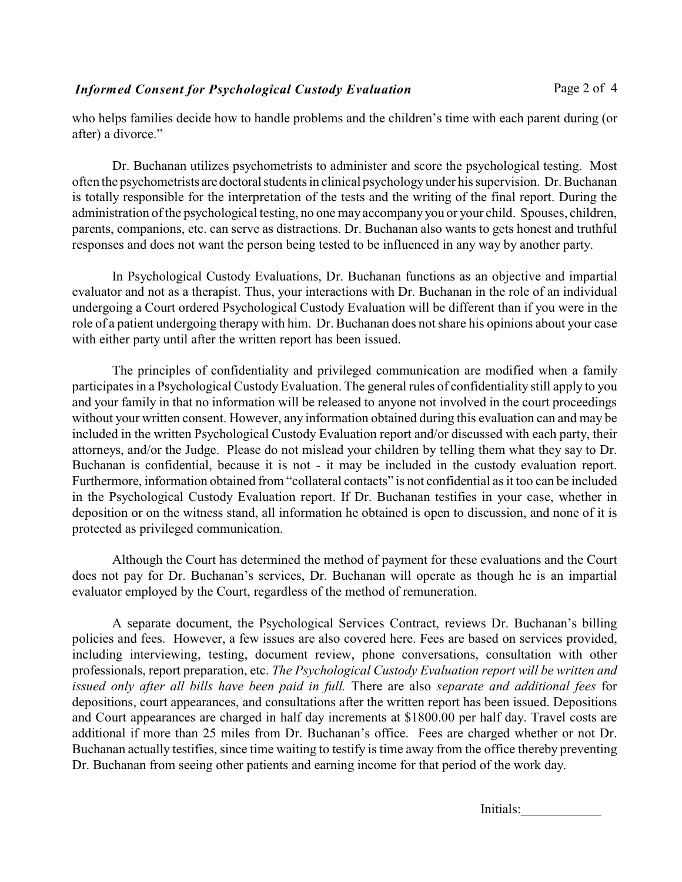who helps families decide how to handle problems and the children's time with each parent during (or after) a divorce."

Dr. Buchanan utilizes psychometrists to administer and score the psychological testing. Most often the psychometrists are doctoral students in clinical psychology under his supervision. Dr. Buchanan is totally responsible for the interpretation of the tests and the writing of the final report. During the administration of the psychological testing, no one may accompany you or your child. Spouses, children, parents, companions, etc. can serve as distractions. Dr. Buchanan also wants to gets honest and truthful responses and does not want the person being tested to be influenced in any way by another party.

In Psychological Custody Evaluations, Dr. Buchanan functions as an objective and impartial evaluator and not as a therapist. Thus, your interactions with Dr. Buchanan in the role of an individual undergoing a Court ordered Psychological Custody Evaluation will be different than if you were in the role of a patient undergoing therapy with him. Dr. Buchanan does not share his opinions about your case with either party until after the written report has been issued.

The principles of confidentiality and privileged communication are modified when a family participates in a Psychological Custody Evaluation. The general rules of confidentiality still apply to you and your family in that no information will be released to anyone not involved in the court proceedings without your written consent. However, any information obtained during this evaluation can and may be included in the written Psychological Custody Evaluation report and/or discussed with each party, their attorneys, and/or the Judge. Please do not mislead your children by telling them what they say to Dr. Buchanan is confidential, because it is not - it may be included in the custody evaluation report. Furthermore, information obtained from "collateral contacts" is not confidential as it too can be included in the Psychological Custody Evaluation report. If Dr. Buchanan testifies in your case, whether in deposition or on the witness stand, all information he obtained is open to discussion, and none of it is protected as privileged communication.

Although the Court has determined the method of payment for these evaluations and the Court does not pay for Dr. Buchanan's services, Dr. Buchanan will operate as though he is an impartial evaluator employed by the Court, regardless of the method of remuneration.

A separate document, the Psychological Services Contract, reviews Dr. Buchanan's billing policies and fees. However, a few issues are also covered here. Fees are based on services provided, including interviewing, testing, document review, phone conversations, consultation with other professionals, report preparation, etc. *The Psychological Custody Evaluation report will be written and issued only after all bills have been paid in full.* There are also *separate and additional fees* for depositions, court appearances, and consultations after the written report has been issued. Depositions and Court appearances are charged in half day increments at \$1800.00 per half day. Travel costs are additional if more than 25 miles from Dr. Buchanan's office. Fees are charged whether or not Dr. Buchanan actually testifies, since time waiting to testify is time away from the office thereby preventing Dr. Buchanan from seeing other patients and earning income for that period of the work day.

Initials: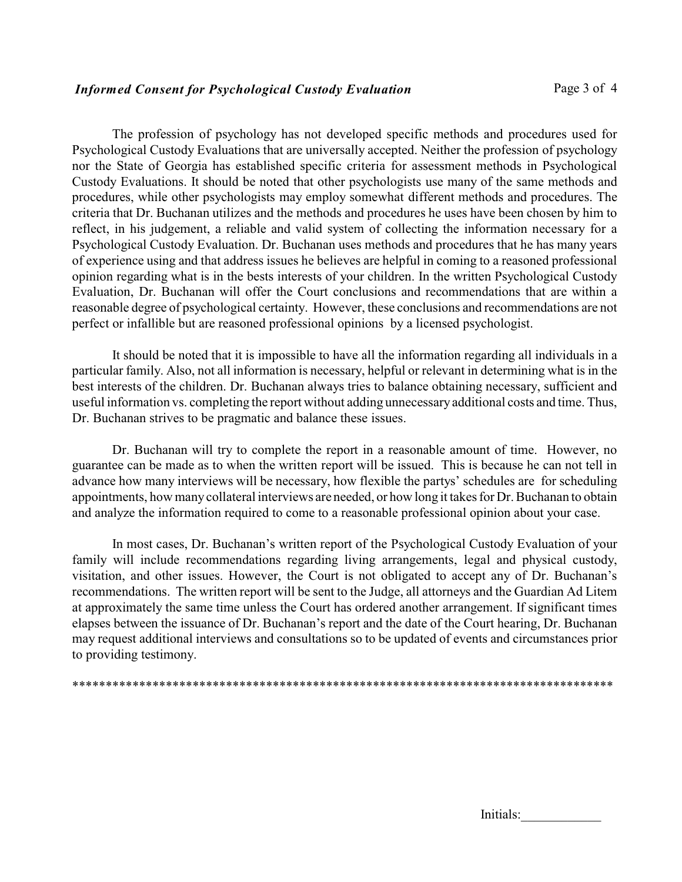The profession of psychology has not developed specific methods and procedures used for Psychological Custody Evaluations that are universally accepted. Neither the profession of psychology nor the State of Georgia has established specific criteria for assessment methods in Psychological Custody Evaluations. It should be noted that other psychologists use many of the same methods and procedures, while other psychologists may employ somewhat different methods and procedures. The criteria that Dr. Buchanan utilizes and the methods and procedures he uses have been chosen by him to reflect, in his judgement, a reliable and valid system of collecting the information necessary for a Psychological Custody Evaluation. Dr. Buchanan uses methods and procedures that he has many years of experience using and that address issues he believes are helpful in coming to a reasoned professional opinion regarding what is in the bests interests of your children. In the written Psychological Custody Evaluation, Dr. Buchanan will offer the Court conclusions and recommendations that are within a reasonable degree of psychological certainty. However, these conclusions and recommendations are not perfect or infallible but are reasoned professional opinions by a licensed psychologist.

It should be noted that it is impossible to have all the information regarding all individuals in a particular family. Also, not all information is necessary, helpful or relevant in determining what is in the best interests of the children. Dr. Buchanan always tries to balance obtaining necessary, sufficient and useful information vs. completing the report without adding unnecessary additional costs and time. Thus, Dr. Buchanan strives to be pragmatic and balance these issues.

Dr. Buchanan will try to complete the report in a reasonable amount of time. However, no guarantee can be made as to when the written report will be issued. This is because he can not tell in advance how many interviews will be necessary, how flexible the partys' schedules are for scheduling appointments, how many collateral interviews are needed, or how long it takes for Dr. Buchanan to obtain and analyze the information required to come to a reasonable professional opinion about your case.

In most cases, Dr. Buchanan's written report of the Psychological Custody Evaluation of your family will include recommendations regarding living arrangements, legal and physical custody, visitation, and other issues. However, the Court is not obligated to accept any of Dr. Buchanan's recommendations. The written report will be sent to the Judge, all attorneys and the Guardian Ad Litem at approximately the same time unless the Court has ordered another arrangement. If significant times elapses between the issuance of Dr. Buchanan's report and the date of the Court hearing, Dr. Buchanan may request additional interviews and consultations so to be updated of events and circumstances prior to providing testimony.

\*\*\*\*\*\*\*\*\*\*\*\*\*\*\*\*\*\*\*\*\*\*\*\*\*\*\*\*\*\*\*\*\*\*\*\*\*\*\*\*\*\*\*\*\*\*\*\*\*\*\*\*\*\*\*\*\*\*\*\*\*\*\*\*\*\*\*\*\*\*\*\*\*\*\*\*\*\*\*\*\*

| Initials: |  |  |  |
|-----------|--|--|--|
|           |  |  |  |